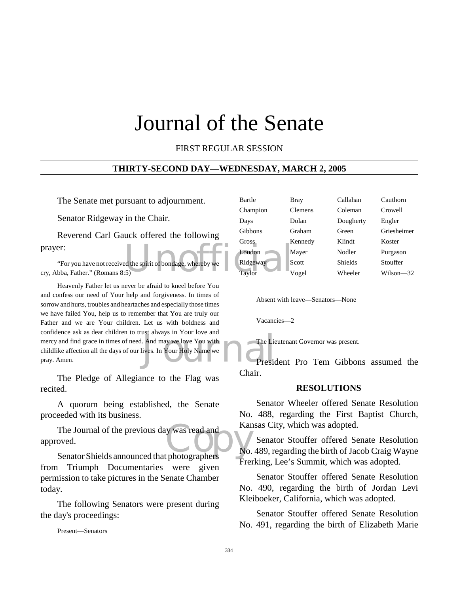# Journal of the Senate

#### FIRST REGULAR SESSION

#### **THIRTY-SECOND DAY—WEDNESDAY, MARCH 2, 2005**

The Senate met pursuant to adjournment.

Senator Ridgeway in the Chair.

Reverend Carl Gauck offered the following prayer:

"For you have not received the spirit of bondage, whereby we cry, Abba, Father." (Romans 8:5)

Solution and The Lie<br>
Many we love You with<br>
The Lie<br>
President President President President President President President President President President President<br>
President President President President President Preside Heavenly Father let us never be afraid to kneel before You and confess our need of Your help and forgiveness. In times of sorrow and hurts, troubles and heartaches and especially those times we have failed You, help us to remember that You are truly our Father and we are Your children. Let us with boldness and confidence ask as dear children to trust always in Your love and mercy and find grace in times of need. And may we love You with childlike affection all the days of our lives. In Your Holy Name we pray. Amen.

The Pledge of Allegiance to the Flag was recited.

A quorum being established, the Senate proceeded with its business.

The Journal of the previous day was read and<br>
Senator Shields announced that photographers approved.

Senator Shields announced that photographers from Triumph Documentaries were given permission to take pictures in the Senate Chamber today.

The following Senators were present during the day's proceedings:

Present—Senators

| rsuant to adjournment.               | Bartle   | Bray           | Callahan       | Cauthorn      |
|--------------------------------------|----------|----------------|----------------|---------------|
| in the Chair.                        | Champion | <b>Clemens</b> | Coleman        | Crowell       |
|                                      | Days     | Dolan          | Dougherty      | Engler        |
| uck offered the following            | Gibbons  | Graham         | Green          | Griesheimer   |
|                                      | Gross    | Kennedy        | Klindt         | Koster        |
|                                      | Loudon   | Mayer          | Nodler         | Purgason      |
| ed the spirit of bondage, whereby we | Ridgeway | Scott          | <b>Shields</b> | Stouffer      |
| :5)                                  | Taylor   | Vogel          | Wheeler        | $Wilson - 32$ |
|                                      |          |                |                |               |

Absent with leave—Senators—None

Vacancies—2

The Lieutenant Governor was present.

President Pro Tem Gibbons assumed the Chair.

#### **RESOLUTIONS**

Senator Wheeler offered Senate Resolution No. 488, regarding the First Baptist Church, Kansas City, which was adopted.

Senator Stouffer offered Senate Resolution No. 489, regarding the birth of Jacob Craig Wayne Frerking, Lee's Summit, which was adopted.

Senator Stouffer offered Senate Resolution No. 490, regarding the birth of Jordan Levi Kleiboeker, California, which was adopted.

Senator Stouffer offered Senate Resolution No. 491, regarding the birth of Elizabeth Marie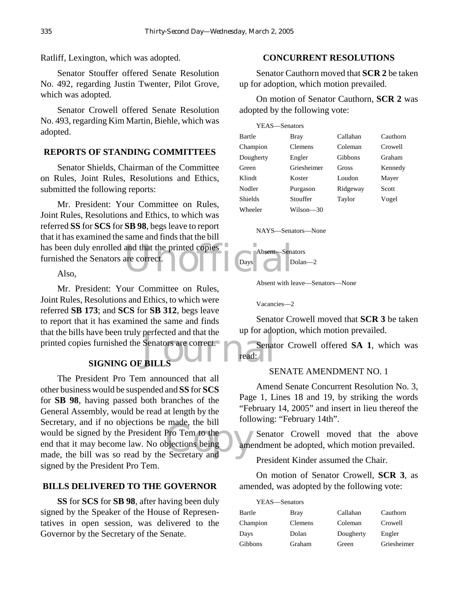Ratliff, Lexington, which was adopted.

Senator Stouffer offered Senate Resolution No. 492, regarding Justin Twenter, Pilot Grove, which was adopted.

Senator Crowell offered Senate Resolution No. 493, regarding Kim Martin, Biehle, which was adopted.

#### **REPORTS OF STANDING COMMITTEES**

Senator Shields, Chairman of the Committee on Rules, Joint Rules, Resolutions and Ethics, submitted the following reports:

has been duly enrolled and that the printed copies<br>
furnished the Senators are correct.<br>
Also, Mr. President: Your Committee on Rules, Joint Rules, Resolutions and Ethics, to which was referred **SS** for **SCS** for **SB 98**, begs leave to report that it has examined the same and finds that the bill furnished the Senators are correct.

Also,

Senators are correct. Mr. President: Your Committee on Rules, Joint Rules, Resolutions and Ethics, to which were referred **SB 173**; and **SCS** for **SB 312**, begs leave to report that it has examined the same and finds that the bills have been truly perfected and that the printed copies furnished the Senators are correct.

# **SIGNING OF BILLS**

Fraction Contract Contract Contract Contract Contract Contract Contract Contract Contract Contract Contract Contract Contract Contract Contract Contract Contract Contract Contract Contract Contract Contract Contract Contra The President Pro Tem announced that all other business would be suspended and **SS** for **SCS** for **SB 98**, having passed both branches of the General Assembly, would be read at length by the Secretary, and if no objections be made, the bill would be signed by the President Pro Tem to the end that it may become law. No objections being made, the bill was so read by the Secretary and signed by the President Pro Tem.

#### **BILLS DELIVERED TO THE GOVERNOR**

**SS** for **SCS** for **SB 98**, after having been duly signed by the Speaker of the House of Representatives in open session, was delivered to the Governor by the Secretary of the Senate.

#### **CONCURRENT RESOLUTIONS**

Senator Cauthorn moved that **SCR 2** be taken up for adoption, which motion prevailed.

On motion of Senator Cauthorn, **SCR 2** was adopted by the following vote:

| YEAS—Senators |                |          |          |
|---------------|----------------|----------|----------|
| Bartle        | Bray           | Callahan | Cauthorn |
| Champion      | <b>Clemens</b> | Coleman  | Crowell  |
| Dougherty     | Engler         | Gibbons  | Graham   |
| Green         | Griesheimer    | Gross    | Kennedy  |
| Klindt        | Koster         | Loudon   | Mayer    |
| Nodler        | Purgason       | Ridgeway | Scott    |
| Shields       | Stouffer       | Taylor   | Vogel    |
| Wheeler       | Wilson—30      |          |          |

#### NAYS—Senators—None



Absent with leave—Senators—None

Vacancies—2

Senator Crowell moved that **SCR 3** be taken up for adoption, which motion prevailed.

Senator Crowell offered **SA 1**, which was read:

#### SENATE AMENDMENT NO. 1

Amend Senate Concurrent Resolution No. 3, Page 1, Lines 18 and 19, by striking the words "February 14, 2005" and insert in lieu thereof the following: "February 14th".

 $\rightarrow$  Senator Crowell moved that the above amendment be adopted, which motion prevailed.

President Kinder assumed the Chair.

On motion of Senator Crowell, **SCR 3**, as amended, was adopted by the following vote:

| YEAS—Senators |             |           |             |
|---------------|-------------|-----------|-------------|
| Bartle        | <b>Bray</b> | Callahan  | Cauthorn    |
| Champion      | Clemens     | Coleman   | Crowell     |
| Days          | Dolan       | Dougherty | Engler      |
| Gibbons       | Graham      | Green     | Griesheimer |
|               |             |           |             |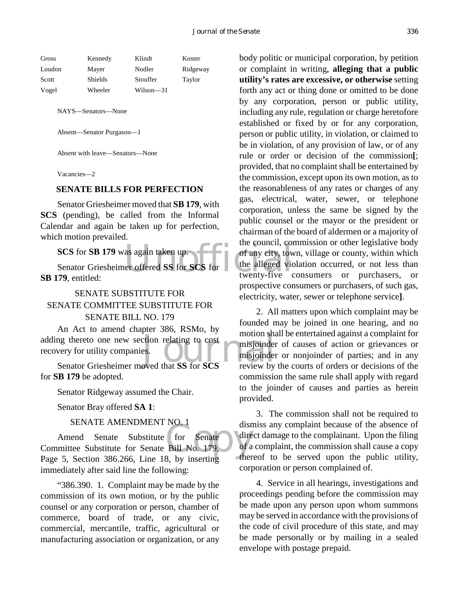| Kennedy | Klindt    | Koster   |
|---------|-----------|----------|
| Mayer   | Nodler    | Ridgeway |
| Shields | Stouffer  | Taylor   |
| Wheeler | Wilson—31 |          |
|         |           |          |

NAYS—Senators—None

Absent—Senator Purgason—1

Absent with leave—Senators—None

Vacancies—2

#### **SENATE BILLS FOR PERFECTION**

Senator Griesheimer moved that **SB 179**, with **SCS** (pending), be called from the Informal Calendar and again be taken up for perfection, which motion prevailed.

as again taken up.<br>
er offered SS for SCS for<br>
the alleged victor of the set of the set of the set of the set of the set of the set of the set of the set of the set of the set of the set of the set of the set of the set of **SCS** for **SB 179** was again taken up. Senator Griesheimer offered **SS** for **SCS** for **SB 179**, entitled:

SENATE SUBSTITUTE FOR SENATE COMMITTEE SUBSTITUTE FOR

SENATE BILL NO. 179

adding thereto one new section relating to cost<br>
recovery for utility companies.<br>
Senator Griesheimer moved that SS for SCS<br>
review by An Act to amend chapter 386, RSMo, by recovery for utility companies.

Senator Griesheimer moved that **SS** for **SCS** for **SB 179** be adopted.

Senator Ridgeway assumed the Chair.

Senator Bray offered **SA 1**:

#### SENATE AMENDMENT NO. 1

for Senate<br>Bill No. 179, of a Amend Senate Substitute for Senate Committee Substitute for Senate Bill No. 179, Page 5, Section 386.266, Line 18, by inserting immediately after said line the following:

"386.390. 1. Complaint may be made by the commission of its own motion, or by the public counsel or any corporation or person, chamber of commerce, board of trade, or any civic, commercial, mercantile, traffic, agricultural or manufacturing association or organization, or any body politic or municipal corporation, by petition or complaint in writing, **alleging that a public utility's rates are excessive, or otherwise** setting forth any act or thing done or omitted to be done by any corporation, person or public utility, including any rule, regulation or charge heretofore established or fixed by or for any corporation, person or public utility, in violation, or claimed to be in violation, of any provision of law, or of any rule or order or decision of the commission**[**; provided, that no complaint shall be entertained by the commission, except upon its own motion, as to the reasonableness of any rates or charges of any gas, electrical, water, sewer, or telephone corporation, unless the same be signed by the public counsel or the mayor or the president or chairman of the board of aldermen or a majority of the council, commission or other legislative body of any city, town, village or county, within which the alleged violation occurred, or not less than twenty-five consumers or purchasers, or prospective consumers or purchasers, of such gas, electricity, water, sewer or telephone service**]**.

2. All matters upon which complaint may be founded may be joined in one hearing, and no motion shall be entertained against a complaint for misjoinder of causes of action or grievances or misjoinder or nonjoinder of parties; and in any review by the courts of orders or decisions of the commission the same rule shall apply with regard to the joinder of causes and parties as herein provided.

3. The commission shall not be required to dismiss any complaint because of the absence of direct damage to the complainant. Upon the filing of a complaint, the commission shall cause a copy thereof to be served upon the public utility, corporation or person complained of.

4. Service in all hearings, investigations and proceedings pending before the commission may be made upon any person upon whom summons may be served in accordance with the provisions of the code of civil procedure of this state, and may be made personally or by mailing in a sealed envelope with postage prepaid.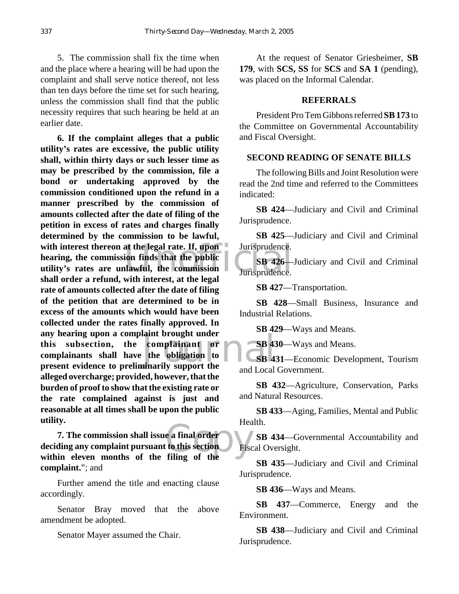5. The commission shall fix the time when and the place where a hearing will be had upon the complaint and shall serve notice thereof, not less than ten days before the time set for such hearing, unless the commission shall find that the public necessity requires that such hearing be held at an earlier date.

with interest thereon at the legal rate. If, upon Jurisprudence.<br>
hearing, the commission finds that the public<br>
utility's rates are unlawful, the commission<br>
shall order a refund with interest at the legal<br>
urisprudence. annt prought under<br>
the obligation to<br>
the obligation to<br>
the ord Lecal<br>
cand Lecal **6. If the complaint alleges that a public utility's rates are excessive, the public utility shall, within thirty days or such lesser time as may be prescribed by the commission, file a bond or undertaking approved by the commission conditioned upon the refund in a manner prescribed by the commission of amounts collected after the date of filing of the petition in excess of rates and charges finally determined by the commission to be lawful, hearing, the commission finds that the public utility's rates are unlawful, the commission shall order a refund, with interest, at the legal rate of amounts collected after the date of filing of the petition that are determined to be in excess of the amounts which would have been collected under the rates finally approved. In any hearing upon a complaint brought under this subsection, the complainant or complainants shall have the obligation to present evidence to preliminarily support the alleged overcharge; provided, however, that the burden of proof to show that the existing rate or the rate complained against is just and reasonable at all times shall be upon the public utility.**

e a final order<br>to this section<br>filing of the **7. The commission shall issue a final order deciding any complaint pursuant to this section within eleven months of the filing of the complaint.**"; and

Further amend the title and enacting clause accordingly.

Senator Bray moved that the above amendment be adopted.

Senator Mayer assumed the Chair.

At the request of Senator Griesheimer, **SB 179**, with **SCS, SS** for **SCS** and **SA 1** (pending), was placed on the Informal Calendar.

#### **REFERRALS**

President Pro Tem Gibbons referred **SB 173** to the Committee on Governmental Accountability and Fiscal Oversight.

#### **SECOND READING OF SENATE BILLS**

The following Bills and Joint Resolution were read the 2nd time and referred to the Committees indicated:

**SB 424**—Judiciary and Civil and Criminal Jurisprudence.

**SB 425**—Judiciary and Civil and Criminal Jurisprudence.

**SB 426**—Judiciary and Civil and Criminal Jurisprudence.

**SB 427**—Transportation.

**SB 428**—Small Business, Insurance and Industrial Relations.

**SB 429**—Ways and Means.

**SB 430**—Ways and Means.

**SB 431**—Economic Development, Tourism and Local Government.

**SB 432**—Agriculture, Conservation, Parks and Natural Resources.

**SB 433**—Aging, Families, Mental and Public Health.

**SB 434**—Governmental Accountability and Fiscal Oversight.

**SB 435**—Judiciary and Civil and Criminal Jurisprudence.

**SB 436**—Ways and Means.

**SB 437**—Commerce, Energy and the Environment.

**SB 438**—Judiciary and Civil and Criminal Jurisprudence.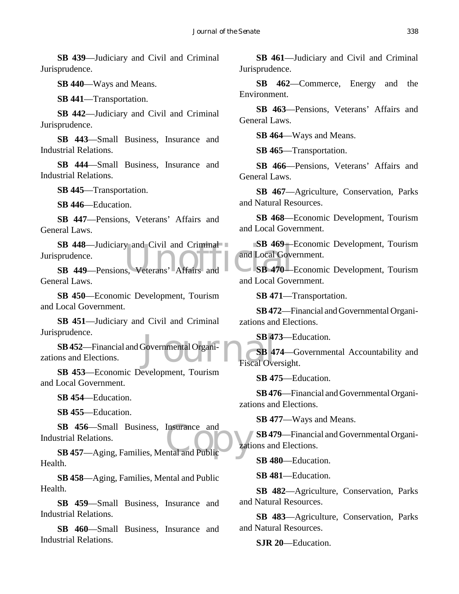**SB 439**—Judiciary and Civil and Criminal Jurisprudence.

**SB 440**—Ways and Means.

**SB 441**—Transportation.

**SB 442**—Judiciary and Civil and Criminal Jurisprudence.

**SB 443**—Small Business, Insurance and Industrial Relations.

**SB 444**—Small Business, Insurance and Industrial Relations.

**SB 445**—Transportation.

**SB 446**—Education.

**SB 447**—Pensions, Veterans' Affairs and General Laws.

SB 448—Judiciary and Civil and Criminal<br>
prudence.<br>
SB 449—Pensions, Veterans<sup>,</sup> Affairs and Local Government Correspondence. Jurisprudence.

**SB 449**—Pensions, Veterans' Affairs and General Laws.

**SB 450**—Economic Development, Tourism and Local Government.

**SB 451**—Judiciary and Civil and Criminal Jurisprudence.

SB 47<br>Governmental Organi-<br>Fiscal Ove **SB 452**—Financial and Governmental Organizations and Elections.

**SB 453**—Economic Development, Tourism and Local Government.

**SB 454**—Education.

**SB 455**—Education.

SB 456—Small Business, Insurance and<br>
strial Relations.<br>
SB 457—Aging, Families, Mental and Public Industrial Relations.

**SB 457**—Aging, Families, Mental and Public Health.

**SB 458**—Aging, Families, Mental and Public Health.

**SB 459**—Small Business, Insurance and Industrial Relations.

**SB 460**—Small Business, Insurance and Industrial Relations.

**SB 461**—Judiciary and Civil and Criminal Jurisprudence.

**SB 462**—Commerce, Energy and the Environment.

**SB 463**—Pensions, Veterans' Affairs and General Laws.

**SB 464**—Ways and Means.

**SB 465**—Transportation.

**SB 466**—Pensions, Veterans' Affairs and General Laws.

**SB 467**—Agriculture, Conservation, Parks and Natural Resources.

**SB 468**—Economic Development, Tourism and Local Government.

**SB 469**—Economic Development, Tourism and Local Government.

**SB 470**—Economic Development, Tourism and Local Government.

**SB 471**—Transportation.

**SB 472**—Financial and Governmental Organizations and Elections.

**SB 473**—Education.

**SB 474**—Governmental Accountability and Fiscal Oversight.

**SB 475**—Education.

**SB 476**—Financial and Governmental Organizations and Elections.

**SB 477**—Ways and Means.

**SB 479**—Financial and Governmental Organizations and Elections.

**SB 480**—Education.

**SB 481**—Education.

**SB 482**—Agriculture, Conservation, Parks and Natural Resources.

**SB 483**—Agriculture, Conservation, Parks and Natural Resources.

**SJR 20**—Education.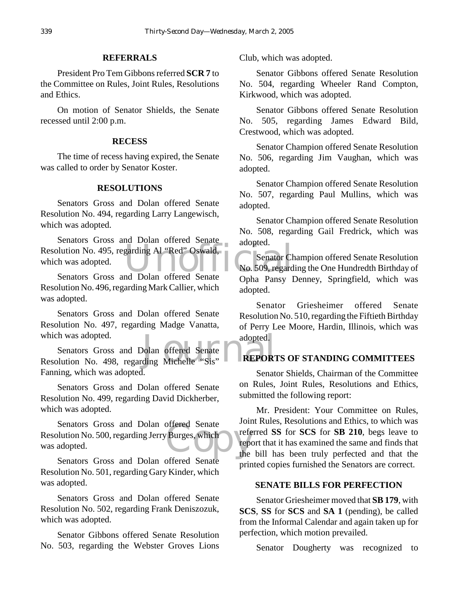#### **REFERRALS**

President Pro Tem Gibbons referred **SCR 7** to the Committee on Rules, Joint Rules, Resolutions and Ethics.

On motion of Senator Shields, the Senate recessed until 2:00 p.m.

#### **RECESS**

The time of recess having expired, the Senate was called to order by Senator Koster.

#### **RESOLUTIONS**

Senators Gross and Dolan offered Senate Resolution No. 494, regarding Larry Langewisch, which was adopted.

Resolution No. 495, regarding Al "Red" Oswald,<br>
which was adopted.<br>
Senators Gross and Dolan offered Senate<br>
Oshe Pensy L Senators Gross and Dolan offered Senate which was adopted.

Senators Gross and Dolan offered Senate Resolution No. 496, regarding Mark Callier, which was adopted.

Senators Gross and Dolan offered Senate Resolution No. 497, regarding Madge Vanatta, which was adopted.

which was adopted.<br>
Senators Gross and Dolan offered Senate<br>
Resolution No. 498, regarding Michelle "Sis"<br>
REPORT Senators Gross and Dolan offered Senate Fanning, which was adopted.

Senators Gross and Dolan offered Senate Resolution No. 499, regarding David Dickherber, which was adopted.

offered Senate<br>
Burges, which<br>
The report Senators Gross and Dolan offered Senate Resolution No. 500, regarding Jerry Burges, which was adopted.

Senators Gross and Dolan offered Senate Resolution No. 501, regarding Gary Kinder, which was adopted.

Senators Gross and Dolan offered Senate Resolution No. 502, regarding Frank Deniszozuk, which was adopted.

Senator Gibbons offered Senate Resolution No. 503, regarding the Webster Groves Lions Club, which was adopted.

Senator Gibbons offered Senate Resolution No. 504, regarding Wheeler Rand Compton, Kirkwood, which was adopted.

Senator Gibbons offered Senate Resolution No. 505, regarding James Edward Bild, Crestwood, which was adopted.

Senator Champion offered Senate Resolution No. 506, regarding Jim Vaughan, which was adopted.

Senator Champion offered Senate Resolution No. 507, regarding Paul Mullins, which was adopted.

Senator Champion offered Senate Resolution No. 508, regarding Gail Fredrick, which was adopted.

Senator Champion offered Senate Resolution No. 509, regarding the One Hundredth Birthday of Opha Pansy Denney, Springfield, which was adopted.

Senator Griesheimer offered Senate Resolution No. 510, regarding the Fiftieth Birthday of Perry Lee Moore, Hardin, Illinois, which was adopted.

#### **REPORTS OF STANDING COMMITTEES**

Senator Shields, Chairman of the Committee on Rules, Joint Rules, Resolutions and Ethics, submitted the following report:

Mr. President: Your Committee on Rules, Joint Rules, Resolutions and Ethics, to which was referred **SS** for **SCS** for **SB 210**, begs leave to report that it has examined the same and finds that the bill has been truly perfected and that the printed copies furnished the Senators are correct.

#### **SENATE BILLS FOR PERFECTION**

Senator Griesheimer moved that **SB 179**, with **SCS**, **SS** for **SCS** and **SA 1** (pending), be called from the Informal Calendar and again taken up for perfection, which motion prevailed.

Senator Dougherty was recognized to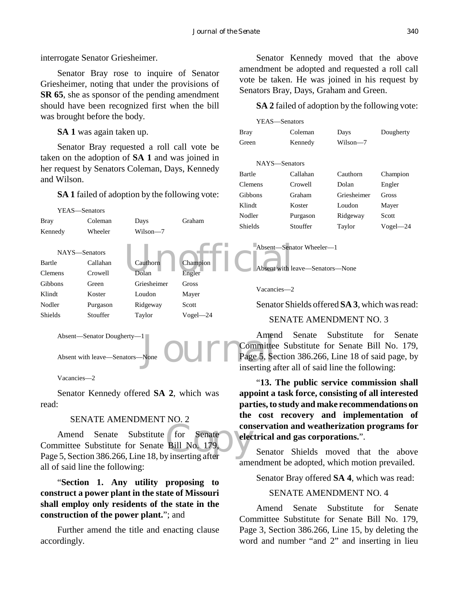interrogate Senator Griesheimer.

Senator Bray rose to inquire of Senator Griesheimer, noting that under the provisions of **SR 65**, she as sponsor of the pending amendment should have been recognized first when the bill was brought before the body.

**SA 1** was again taken up.

Senator Bray requested a roll call vote be taken on the adoption of **SA 1** and was joined in her request by Senators Coleman, Days, Kennedy and Wilson.

**SA 1** failed of adoption by the following vote:



Absent with leave—Senators—None

Vacancies—2

Senator Kennedy offered **SA 2**, which was read:

# SENATE AMENDMENT NO. 2

Committee Substitute for Senate<br>
Committee Substitute for Senate Bill No. 179,<br>
Page 5, Section 386.266, Line 18, by inserting after Amend Senate Substitute for Senate Committee Substitute for Senate Bill No. 179, all of said line the following:

"**Section 1. Any utility proposing to construct a power plant in the state of Missouri shall employ only residents of the state in the construction of the power plant.**"; and

Further amend the title and enacting clause accordingly.

Senator Kennedy moved that the above amendment be adopted and requested a roll call vote be taken. He was joined in his request by Senators Bray, Days, Graham and Green.

**SA 2** failed of adoption by the following vote:

| YEAS—Senators  |          |             |              |
|----------------|----------|-------------|--------------|
| <b>Bray</b>    | Coleman  | Days        | Dougherty    |
| Green          | Kennedy  | Wilson—7    |              |
|                |          |             |              |
| NAYS—Senators  |          |             |              |
| Bartle         | Callahan | Cauthorn    | Champion     |
| Clemens        | Crowell  | Dolan       | Engler       |
| <b>Gibbons</b> | Graham   | Griesheimer | Gross        |
| Klindt         | Koster   | Loudon      | Mayer        |
| Nodler         | Purgason | Ridgeway    | Scott        |
| Shields        | Stouffer | Taylor      | $Vogel - 24$ |
|                |          |             |              |

Absent—Senator Wheeler—1

Absent with leave—Senators—None

Vacancies—2

Senator Shields offered **SA 3**, which was read:

### SENATE AMENDMENT NO. 3

Amend Senate Substitute for Senate Committee Substitute for Senate Bill No. 179, Page 5, Section 386.266, Line 18 of said page, by inserting after all of said line the following:

"**13. The public service commission shall appoint a task force, consisting of all interested parties, to study and make recommendations on the cost recovery and implementation of conservation and weatherization programs for electrical and gas corporations.**".

Senator Shields moved that the above amendment be adopted, which motion prevailed.

Senator Bray offered **SA 4**, which was read:

#### SENATE AMENDMENT NO. 4

Amend Senate Substitute for Senate Committee Substitute for Senate Bill No. 179, Page 3, Section 386.266, Line 15, by deleting the word and number "and 2" and inserting in lieu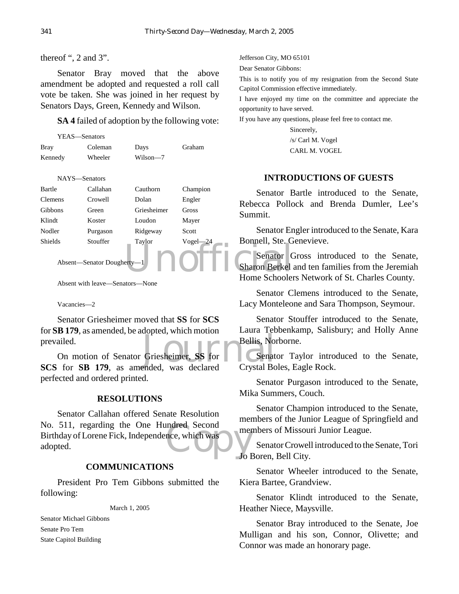thereof ", 2 and 3".

Senator Bray moved that the above amendment be adopted and requested a roll call vote be taken. She was joined in her request by Senators Days, Green, Kennedy and Wilson.

**SA 4** failed of adoption by the following vote:

|         | YEAS—Senators |          |        |
|---------|---------------|----------|--------|
| Bray    | Coleman       | Days     | Graham |
| Kennedy | Wheeler       | Wilson-7 |        |

NAYS—Senators

| Bartle                     | Callahan | Cauthorn    | Champion     | Senator B<br>Pollo<br>Rebecca |
|----------------------------|----------|-------------|--------------|-------------------------------|
| <b>Clemens</b>             | Crowell  | Dolan       | Engler       |                               |
| Gibbons                    | Green    | Griesheimer | Gross        | Summit.                       |
| Klindt                     | Koster   | Loudon      | Mayer        |                               |
| Nodler                     | Purgason | Ridgeway    | Scott        | Senator En                    |
| Shields                    | Stouffer | Taylor      | $Vogel - 24$ | Bonnell, Ste. G               |
| Absent-Senator Dougherty-1 |          |             |              | Senator C                     |
|                            |          |             |              | <b>Sharon Berkel</b> :        |
|                            |          |             |              | Home Schooler                 |

Absent with leave—Senators—None

Vacancies—2

Senator Griesheimer moved that **SS** for **SCS** for **SB 179**, as amended, be adopted, which motion prevailed.

Bellis, North Rough<br>Bellis, North Relations, North Relationships and Security<br>Pended was declared Crystal Bo On motion of Senator Griesheimer, **SS** for **SCS** for **SB 179**, as amended, was declared perfected and ordered printed.

### **RESOLUTIONS**

mdred Second<br>
mer<br>
Jo H Senator Callahan offered Senate Resolution No. 511, regarding the One Hundred Second Birthday of Lorene Fick, Independence, which was adopted.

### **COMMUNICATIONS**

President Pro Tem Gibbons submitted the following:

March 1, 2005

Senator Michael Gibbons Senate Pro Tem State Capitol Building

Jefferson City, MO 65101

Dear Senator Gibbons:

This is to notify you of my resignation from the Second State Capitol Commission effective immediately.

I have enjoyed my time on the committee and appreciate the opportunity to have served.

If you have any questions, please feel free to contact me.

Sincerely, /s/ Carl M. Vogel CARL M. VOGEL

# **INTRODUCTIONS OF GUESTS**

Senator Bartle introduced to the Senate, Rebecca Pollock and Brenda Dumler, Lee's Summit.

Senator Engler introduced to the Senate, Kara Bonnell, Ste. Genevieve.

Senator Gross introduced to the Senate, Sharon Berkel and ten families from the Jeremiah Home Schoolers Network of St. Charles County.

Senator Clemens introduced to the Senate, Lacy Monteleone and Sara Thompson, Seymour.

Senator Stouffer introduced to the Senate, Laura Tebbenkamp, Salisbury; and Holly Anne Bellis, Norborne.

Senator Taylor introduced to the Senate, Crystal Boles, Eagle Rock.

Senator Purgason introduced to the Senate, Mika Summers, Couch.

Senator Champion introduced to the Senate, members of the Junior League of Springfield and members of Missouri Junior League.

Senator Crowell introduced to the Senate, Tori Jo Boren, Bell City.

Senator Wheeler introduced to the Senate, Kiera Bartee, Grandview.

Senator Klindt introduced to the Senate, Heather Niece, Maysville.

Senator Bray introduced to the Senate, Joe Mulligan and his son, Connor, Olivette; and Connor was made an honorary page.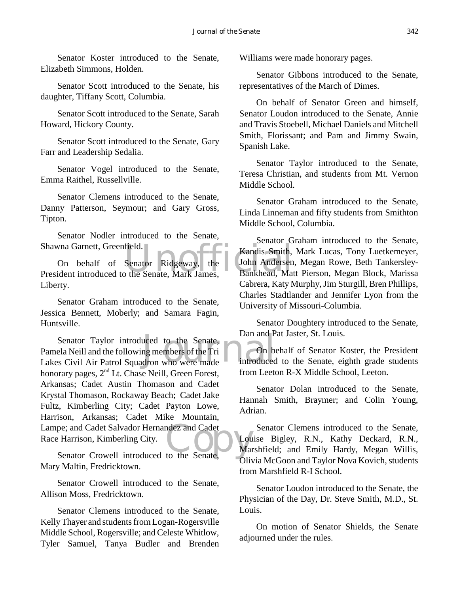Senator Koster introduced to the Senate, Elizabeth Simmons, Holden.

Senator Scott introduced to the Senate, his daughter, Tiffany Scott, Columbia.

Senator Scott introduced to the Senate, Sarah Howard, Hickory County.

Senator Scott introduced to the Senate, Gary Farr and Leadership Sedalia.

Senator Vogel introduced to the Senate, Emma Raithel, Russellville.

Senator Clemens introduced to the Senate, Danny Patterson, Seymour; and Gary Gross, Tipton.

Senator Nodler introduced to the Senate, Shawna Garnett, Greenfield.

Field.<br>
Senator Ridgeway, the John Andersen<br>
Line John Andersen<br>
University Bankhead, Mat On behalf of Senator Ridgeway, the President introduced to the Senate, Mark James, Liberty.

Senator Graham introduced to the Senate, Jessica Bennett, Moberly; and Samara Fagin, Huntsville.

Senator Taylor introduced to the Senate,<br>
ela Neill and the following members of the Tri<br>
Senate as Civil Air Patrol Squadron who were made<br>
introduced Lampe; and Cadet Salvador Hernandez and Cadet<br>
Race Harrison, Kimberling City.<br>
Senator Crowell introduced to the Senate, Pamela Neill and the following members of the Tri Lakes Civil Air Patrol Squadron who were made honorary pages, 2<sup>nd</sup> Lt. Chase Neill, Green Forest, Arkansas; Cadet Austin Thomason and Cadet Krystal Thomason, Rockaway Beach; Cadet Jake Fultz, Kimberling City; Cadet Payton Lowe, Harrison, Arkansas; Cadet Mike Mountain, Race Harrison, Kimberling City.

Senator Crowell introduced to the Senate, Mary Maltin, Fredricktown.

Senator Crowell introduced to the Senate, Allison Moss, Fredricktown.

Senator Clemens introduced to the Senate, Kelly Thayer and students from Logan-Rogersville Middle School, Rogersville; and Celeste Whitlow, Tyler Samuel, Tanya Budler and Brenden Williams were made honorary pages.

Senator Gibbons introduced to the Senate, representatives of the March of Dimes.

On behalf of Senator Green and himself, Senator Loudon introduced to the Senate, Annie and Travis Stoebell, Michael Daniels and Mitchell Smith, Florissant; and Pam and Jimmy Swain, Spanish Lake.

Senator Taylor introduced to the Senate, Teresa Christian, and students from Mt. Vernon Middle School.

Senator Graham introduced to the Senate, Linda Linneman and fifty students from Smithton Middle School, Columbia.

Senator Graham introduced to the Senate, Kandis Smith, Mark Lucas, Tony Luetkemeyer, John Andersen, Megan Rowe, Beth Tankersley-Bankhead, Matt Pierson, Megan Block, Marissa Cabrera, Katy Murphy, Jim Sturgill, Bren Phillips, Charles Stadtlander and Jennifer Lyon from the University of Missouri-Columbia.

Senator Doughtery introduced to the Senate, Dan and Pat Jaster, St. Louis.

On behalf of Senator Koster, the President introduced to the Senate, eighth grade students from Leeton R-X Middle School, Leeton.

Senator Dolan introduced to the Senate, Hannah Smith, Braymer; and Colin Young, Adrian.

Senator Clemens introduced to the Senate, Louise Bigley, R.N., Kathy Deckard, R.N., Marshfield; and Emily Hardy, Megan Willis, Olivia McGoon and Taylor Nova Kovich, students from Marshfield R-I School.

Senator Loudon introduced to the Senate, the Physician of the Day, Dr. Steve Smith, M.D., St. Louis.

On motion of Senator Shields, the Senate adjourned under the rules.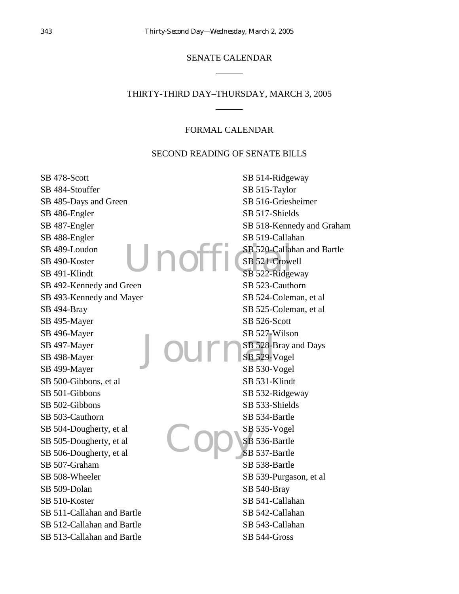# SENATE CALENDAR  $\overline{\phantom{a}}$

# THIRTY-THIRD DAY–THURSDAY, MARCH 3, 2005  $\overline{\phantom{a}}$

#### FORMAL CALENDAR

#### SECOND READING OF SENATE BILLS

Unof Journal Copys SB 478-Scott SB 484-Stouffer SB 485-Days and Green SB 486-Engler SB 487-Engler SB 488-Engler SB 489-Loudon SB 490-Koster SB 491-Klindt SB 492-Kennedy and Green SB 493-Kennedy and Mayer SB 494-Bray SB 495-Mayer SB 496-Mayer SB 497-Mayer SB 498-Mayer SB 499-Mayer SB 500-Gibbons, et al SB 501-Gibbons SB 502-Gibbons SB 503-Cauthorn SB 504-Dougherty, et al SB 505-Dougherty, et al SB 506-Dougherty, et al SB 507-Graham SB 508-Wheeler SB 509-Dolan SB 510-Koster SB 511-Callahan and Bartle SB 512-Callahan and Bartle SB 513-Callahan and Bartle SB 514-Ridgeway SB 515-Taylor SB 516-Griesheimer SB 517-Shields SB 518-Kennedy and Graham SB 519-Callahan SB 520-Callahan and Bartle SB 521-Crowell SB 522-Ridgeway SB 523-Cauthorn SB 524-Coleman, et al SB 525-Coleman, et al SB 526-Scott SB 527-Wilson SB 528-Bray and Days SB 529-Vogel SB 530-Vogel SB 531-Klindt SB 532-Ridgeway SB 533-Shields SB 534-Bartle SB 535-Vogel SB 536-Bartle SB 537-Bartle SB 538-Bartle SB 539-Purgason, et al SB 540-Bray SB 541-Callahan SB 542-Callahan SB 543-Callahan SB 544-Gross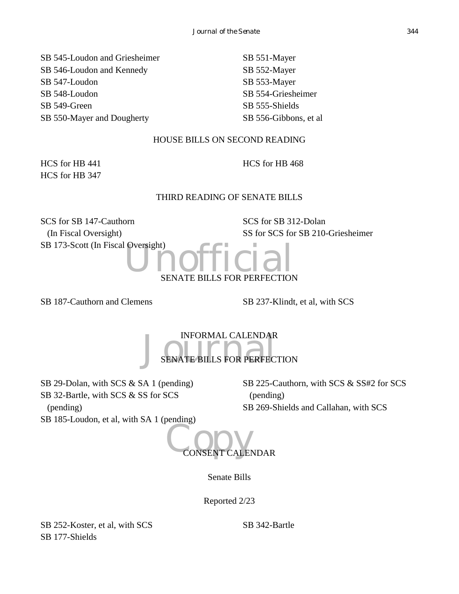SB 545-Loudon and Griesheimer SB 546-Loudon and Kennedy SB 547-Loudon SB 548-Loudon SB 549-Green SB 550-Mayer and Dougherty

SB 551-Mayer SB 552-Mayer SB 553-Mayer SB 554-Griesheimer SB 555-Shields SB 556-Gibbons, et al

# HOUSE BILLS ON SECOND READING

HCS for HB 441 HCS for HB 347 HCS for HB 468

# THIRD READING OF SENATE BILLS

SCS for SB 147-Cauthorn (In Fiscal Oversight) SB 173-Scott (In Fiscal Oversight) SCS for SB 312-Dolan SS for SCS for SB 210-Griesheimer



SB 187-Cauthorn and Clemens SB 237-Klindt, et al, with SCS

INFORMAL CALENDAR<br>SENATE BILLS FOR PERFECT S FOR PERFECTION

SB 29-Dolan, with SCS & SA 1 (pending) SB 32-Bartle, with SCS & SS for SCS (pending) SB 185-Loudon, et al, with SA 1 (pending)

SB 225-Cauthorn, with SCS & SS#2 for SCS (pending) SB 269-Shields and Callahan, with SCS

CONSENT CALENDAR

Senate Bills

Reported 2/23

SB 252-Koster, et al, with SCS SB 177-Shields

SB 342-Bartle